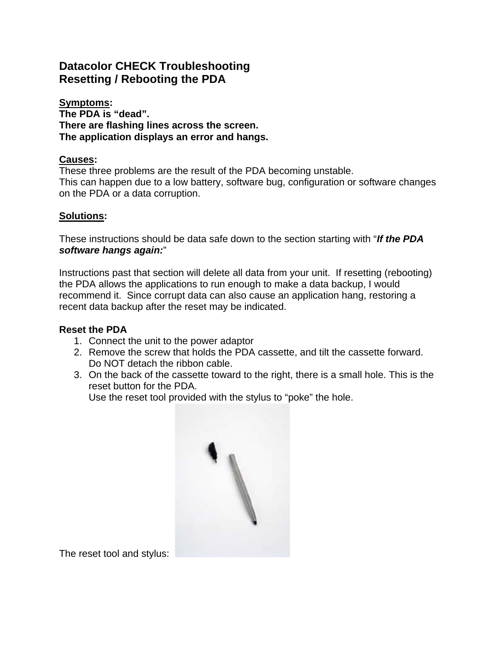# **Datacolor CHECK Troubleshooting Resetting / Rebooting the PDA**

**Symptoms: The PDA is "dead". There are flashing lines across the screen. The application displays an error and hangs.** 

#### **Causes:**

These three problems are the result of the PDA becoming unstable. This can happen due to a low battery, software bug, configuration or software changes on the PDA or a data corruption.

## **Solutions:**

These instructions should be data safe down to the section starting with "*If the PDA software hangs again:*"

Instructions past that section will delete all data from your unit. If resetting (rebooting) the PDA allows the applications to run enough to make a data backup, I would recommend it. Since corrupt data can also cause an application hang, restoring a recent data backup after the reset may be indicated.

#### **Reset the PDA**

- 1. Connect the unit to the power adaptor
- 2. Remove the screw that holds the PDA cassette, and tilt the cassette forward. Do NOT detach the ribbon cable.
- 3. On the back of the cassette toward to the right, there is a small hole. This is the reset button for the PDA.

Use the reset tool provided with the stylus to "poke" the hole.



The reset tool and stylus: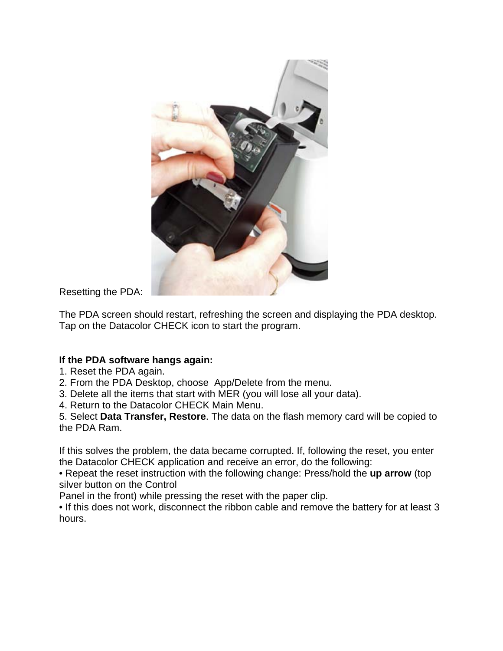

Resetting the PDA:

The PDA screen should restart, refreshing the screen and displaying the PDA desktop. Tap on the Datacolor CHECK icon to start the program.

## **If the PDA software hangs again:**

- 1. Reset the PDA again.
- 2. From the PDA Desktop, choose App/Delete from the menu.
- 3. Delete all the items that start with MER (you will lose all your data).
- 4. Return to the Datacolor CHECK Main Menu.

5. Select **Data Transfer, Restore**. The data on the flash memory card will be copied to the PDA Ram.

If this solves the problem, the data became corrupted. If, following the reset, you enter the Datacolor CHECK application and receive an error, do the following:

• Repeat the reset instruction with the following change: Press/hold the **up arrow** (top silver button on the Control

Panel in the front) while pressing the reset with the paper clip.

• If this does not work, disconnect the ribbon cable and remove the battery for at least 3 hours.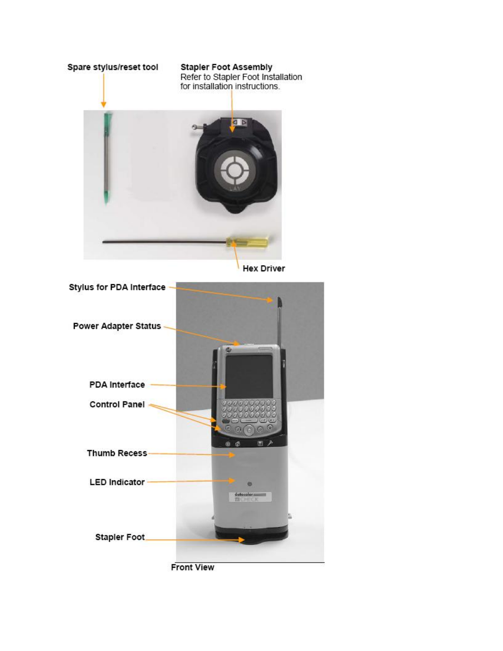